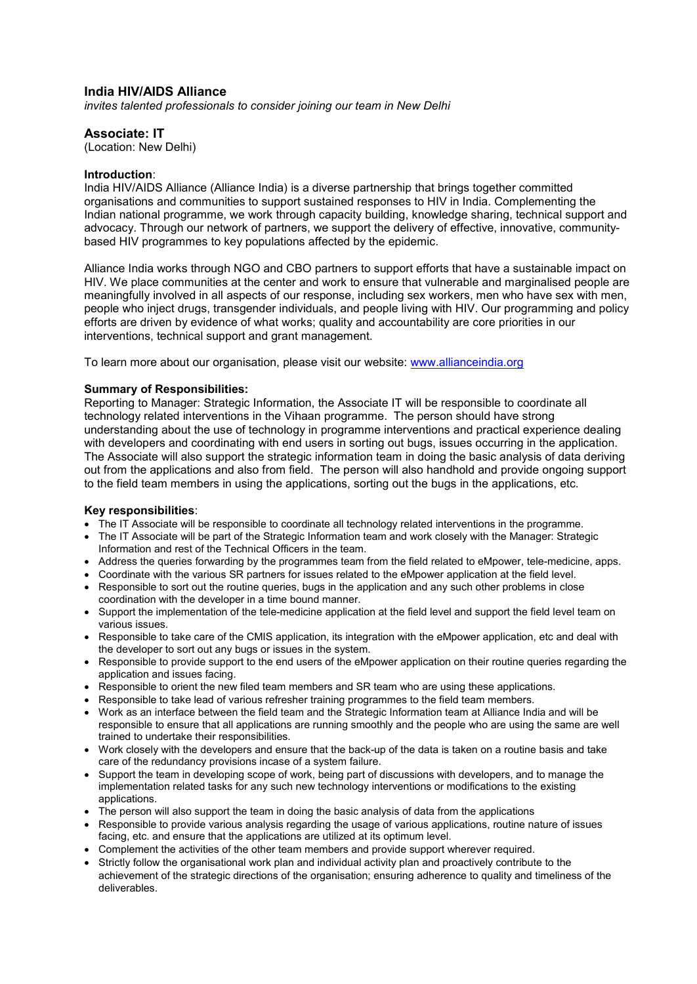# **India HIV/AIDS Alliance**

*invites talented professionals to consider joining our team in New Delhi* 

# **Associate: IT**

(Location: New Delhi)

#### **Introduction**:

India HIV/AIDS Alliance (Alliance India) is a diverse partnership that brings together committed organisations and communities to support sustained responses to HIV in India. Complementing the Indian national programme, we work through capacity building, knowledge sharing, technical support and advocacy. Through our network of partners, we support the delivery of effective, innovative, communitybased HIV programmes to key populations affected by the epidemic.

Alliance India works through NGO and CBO partners to support efforts that have a sustainable impact on HIV. We place communities at the center and work to ensure that vulnerable and marginalised people are meaningfully involved in all aspects of our response, including sex workers, men who have sex with men, people who inject drugs, transgender individuals, and people living with HIV. Our programming and policy efforts are driven by evidence of what works; quality and accountability are core priorities in our interventions, technical support and grant management.

To learn more about our organisation, please visit our website: [www.allianceindia.org](http://www.allianceindia.org/) 

## **Summary of Responsibilities:**

Reporting to Manager: Strategic Information, the Associate IT will be responsible to coordinate all technology related interventions in the Vihaan programme. The person should have strong understanding about the use of technology in programme interventions and practical experience dealing with developers and coordinating with end users in sorting out bugs, issues occurring in the application. The Associate will also support the strategic information team in doing the basic analysis of data deriving out from the applications and also from field. The person will also handhold and provide ongoing support to the field team members in using the applications, sorting out the bugs in the applications, etc.

# **Key responsibilities**:

- The IT Associate will be responsible to coordinate all technology related interventions in the programme.
- The IT Associate will be part of the Strategic Information team and work closely with the Manager: Strategic Information and rest of the Technical Officers in the team.
- Address the queries forwarding by the programmes team from the field related to eMpower, tele-medicine, apps.
- Coordinate with the various SR partners for issues related to the eMpower application at the field level.
- Responsible to sort out the routine queries, bugs in the application and any such other problems in close coordination with the developer in a time bound manner.
- Support the implementation of the tele-medicine application at the field level and support the field level team on various issues.
- Responsible to take care of the CMIS application, its integration with the eMpower application, etc and deal with the developer to sort out any bugs or issues in the system.
- Responsible to provide support to the end users of the eMpower application on their routine queries regarding the application and issues facing.
- Responsible to orient the new filed team members and SR team who are using these applications.
- Responsible to take lead of various refresher training programmes to the field team members.
- Work as an interface between the field team and the Strategic Information team at Alliance India and will be responsible to ensure that all applications are running smoothly and the people who are using the same are well trained to undertake their responsibilities.
- Work closely with the developers and ensure that the back-up of the data is taken on a routine basis and take care of the redundancy provisions incase of a system failure.
- Support the team in developing scope of work, being part of discussions with developers, and to manage the implementation related tasks for any such new technology interventions or modifications to the existing applications.
- The person will also support the team in doing the basic analysis of data from the applications
- Responsible to provide various analysis regarding the usage of various applications, routine nature of issues facing, etc. and ensure that the applications are utilized at its optimum level.
- Complement the activities of the other team members and provide support wherever required.
- Strictly follow the organisational work plan and individual activity plan and proactively contribute to the achievement of the strategic directions of the organisation; ensuring adherence to quality and timeliness of the deliverables.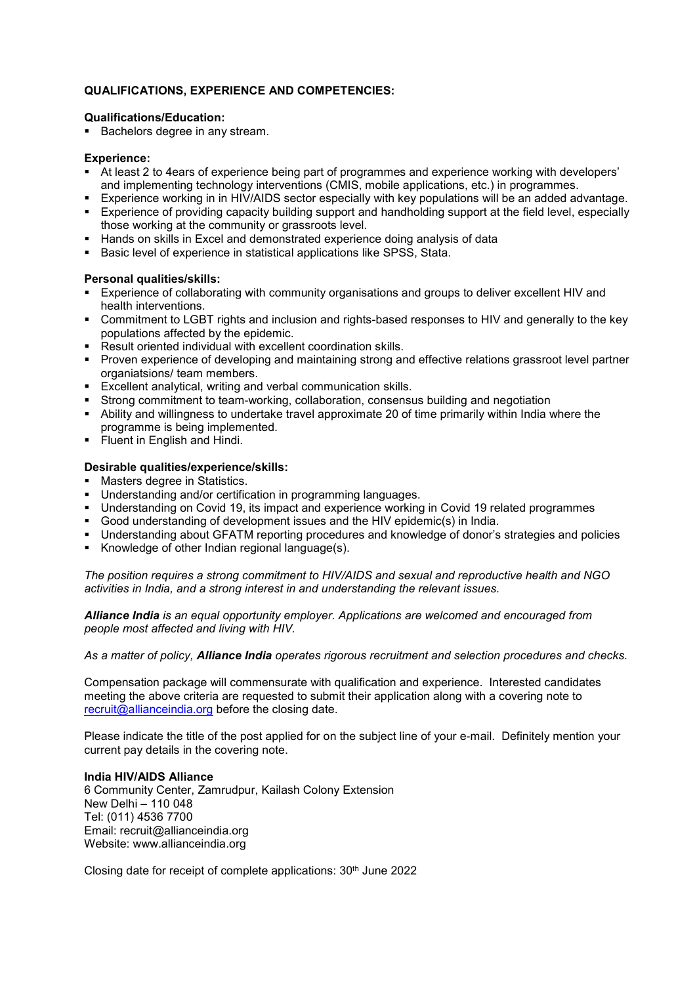# **QUALIFICATIONS, EXPERIENCE AND COMPETENCIES:**

#### **Qualifications/Education:**

Bachelors degree in any stream.

## **Experience:**

- At least 2 to 4ears of experience being part of programmes and experience working with developers' and implementing technology interventions (CMIS, mobile applications, etc.) in programmes.
- Experience working in in HIV/AIDS sector especially with key populations will be an added advantage.
- Experience of providing capacity building support and handholding support at the field level, especially those working at the community or grassroots level.
- **Hands on skills in Excel and demonstrated experience doing analysis of data**
- Basic level of experience in statistical applications like SPSS, Stata.

## **Personal qualities/skills:**

- Experience of collaborating with community organisations and groups to deliver excellent HIV and health interventions.
- Commitment to LGBT rights and inclusion and rights-based responses to HIV and generally to the key populations affected by the epidemic.
- Result oriented individual with excellent coordination skills.
- Proven experience of developing and maintaining strong and effective relations grassroot level partner organiatsions/ team members.
- **Excellent analytical, writing and verbal communication skills.**
- Strong commitment to team-working, collaboration, consensus building and negotiation
- Ability and willingness to undertake travel approximate 20 of time primarily within India where the programme is being implemented.
- **Fluent in English and Hindi.**

## **Desirable qualities/experience/skills:**

- **Masters degree in Statistics.**
- Understanding and/or certification in programming languages.
- Understanding on Covid 19, its impact and experience working in Covid 19 related programmes
- Good understanding of development issues and the HIV epidemic(s) in India.
- Understanding about GFATM reporting procedures and knowledge of donor's strategies and policies
- Knowledge of other Indian regional language(s).

*The position requires a strong commitment to HIV/AIDS and sexual and reproductive health and NGO activities in India, and a strong interest in and understanding the relevant issues.* 

*Alliance India is an equal opportunity employer. Applications are welcomed and encouraged from people most affected and living with HIV.* 

*As a matter of policy, Alliance India operates rigorous recruitment and selection procedures and checks.* 

Compensation package will commensurate with qualification and experience. Interested candidates meeting the above criteria are requested to submit their application along with a covering note to [recruit@allianceindia.org](mailto:recruit@allianceindia.org) before the closing date.

Please indicate the title of the post applied for on the subject line of your e-mail. Definitely mention your current pay details in the covering note.

#### **India HIV/AIDS Alliance**

6 Community Center, Zamrudpur, Kailash Colony Extension New Delhi – 110 048 Tel: (011) 4536 7700 Email: recruit@allianceindia.org Website: www.allianceindia.org

Closing date for receipt of complete applications: 30<sup>th</sup> June 2022